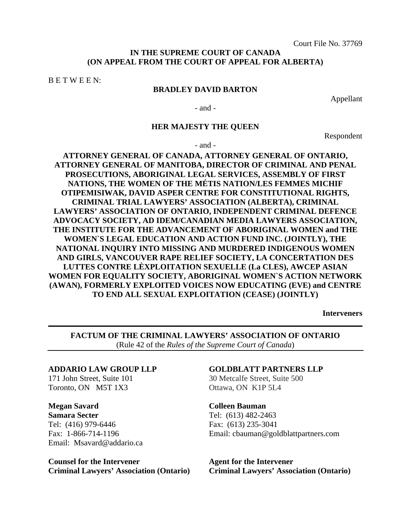### **IN THE SUPREME COURT OF CANADA (ON APPEAL FROM THE COURT OF APPEAL FOR ALBERTA)**

B E T W E E N:

### **BRADLEY DAVID BARTON**

Appellant

- and -

#### **HER MAJESTY THE QUEEN**

Respondent

- and -

# **ATTORNEY GENERAL OF CANADA, ATTORNEY GENERAL OF ONTARIO, ATTORNEY GENERAL OF MANITOBA, DIRECTOR OF CRIMINAL AND PENAL PROSECUTIONS, ABORIGINAL LEGAL SERVICES, ASSEMBLY OF FIRST NATIONS, THE WOMEN OF THE MÉTIS NATION/LES FEMMES MICHIF OTIPEMISIWAK, DAVID ASPER CENTRE FOR CONSTITUTIONAL RIGHTS, CRIMINAL TRIAL LAWYERS' ASSOCIATION (ALBERTA), CRIMINAL LAWYERS' ASSOCIATION OF ONTARIO, INDEPENDENT CRIMINAL DEFENCE ADVOCACY SOCIETY, AD IDEM/CANADIAN MEDIA LAWYERS ASSOCIATION, THE INSTITUTE FOR THE ADVANCEMENT OF ABORIGINAL WOMEN and THE WOMEN`S LEGAL EDUCATION AND ACTION FUND INC. (JOINTLY), THE NATIONAL INQUIRY INTO MISSING AND MURDERED INDIGENOUS WOMEN AND GIRLS, VANCOUVER RAPE RELIEF SOCIETY, LA CONCERTATION DES LUTTES CONTRE LÈXPLOITATION SEXUELLE (La CLES), AWCEP ASIAN WOMEN FOR EQUALITY SOCIETY, ABORIGINAL WOMEN`S ACTION NETWORK (AWAN), FORMERLY EXPLOITED VOICES NOW EDUCATING (EVE) and CENTRE TO END ALL SEXUAL EXPLOITATION (CEASE) (JOINTLY)**

**Interveners**

**FACTUM OF THE CRIMINAL LAWYERS' ASSOCIATION OF ONTARIO**  (Rule 42 of the *Rules of the Supreme Court of Canada*)

**\_\_\_\_\_\_\_\_\_\_\_\_\_\_\_\_\_\_\_\_\_\_\_\_\_\_\_\_\_\_\_\_\_\_\_\_\_\_\_\_\_\_\_\_\_\_\_\_\_\_\_\_\_\_\_\_\_\_\_\_\_\_\_\_\_\_\_\_\_\_\_\_\_\_\_\_\_\_** 

#### **ADDARIO LAW GROUP LLP**

171 John Street, Suite 101 Toronto, ON M5T 1X3

**Megan Savard Samara Secter**  Tel: (416) 979-6446 Fax: 1-866-714-1196 Email: Msavard@addario.ca

**Counsel for the Intervener Criminal Lawyers' Association (Ontario)**

### **GOLDBLATT PARTNERS LLP**

30 Metcalfe Street, Suite 500 Ottawa, ON K1P 5L4

**Colleen Bauman** 

Tel: (613) 482-2463 Fax: (613) 235-3041 Email: cbauman@goldblattpartners.com

**Agent for the Intervener Criminal Lawyers' Association (Ontario)**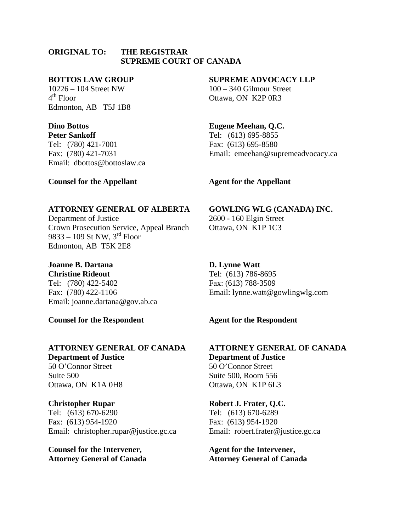#### **ORIGINAL TO: THE REGISTRAR SUPREME COURT OF CANADA**

#### **BOTTOS LAW GROUP**

10226 – 104 Street NW  $4<sup>th</sup>$  Floor Edmonton, AB T5J 1B8

### **Dino Bottos**

**Peter Sankoff**  Tel: (780) 421-7001 Fax: (780) 421-7031 Email: dbottos@bottoslaw.ca

#### **SUPREME ADVOCACY LLP**

100 – 340 Gilmour Street Ottawa, ON K2P 0R3

# **Eugene Meehan, Q.C.**

Tel: (613) 695-8855 Fax: (613) 695-8580 Email: emeehan@supremeadvocacy.ca

### **Counsel for the Appellant**

### **Agent for the Appellant**

### **ATTORNEY GENERAL OF ALBERTA**

Department of Justice Crown Prosecution Service, Appeal Branch 9833 – 109 St NW,  $3<sup>rd</sup>$  Floor Edmonton, AB T5K 2E8

## **Joanne B. Dartana**

**Christine Rideout**  Tel: (780) 422-5402 Fax: (780) 422-1106 Email: joanne.dartana@gov.ab.ca

**Counsel for the Respondent** 

# **ATTORNEY GENERAL OF CANADA Department of Justice**

50 O'Connor Street Suite 500 Ottawa, ON K1A 0H8

# **Christopher Rupar**

Tel: (613) 670-6290 Fax: (613) 954-1920 Email: christopher.rupar@justice.gc.ca

**Counsel for the Intervener, Attorney General of Canada** 

# **GOWLING WLG (CANADA) INC.**

2600 - 160 Elgin Street Ottawa, ON K1P 1C3

# **D. Lynne Watt**

Tel: (613) 786-8695 Fax: (613) 788-3509 Email: lynne.watt@gowlingwlg.com

# **Agent for the Respondent**

**ATTORNEY GENERAL OF CANADA Department of Justice** 50 O'Connor Street Suite 500, Room 556 Ottawa, ON K1P 6L3

**Robert J. Frater, Q.C.**  Tel: (613) 670-6289 Fax: (613) 954-1920 Email: robert.frater@justice.gc.ca

**Agent for the Intervener, Attorney General of Canada**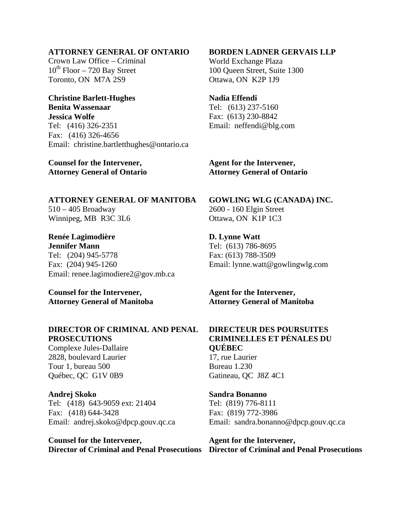### **ATTORNEY GENERAL OF ONTARIO**

Crown Law Office – Criminal  $10^{th}$  Floor – 720 Bay Street Toronto, ON M7A 2S9

# **Christine Barlett-Hughes Benita Wassenaar**

**Jessica Wolfe**  Tel: (416) 326-2351 Fax: (416) 326-4656 Email: christine.bartletthughes@ontario.ca

### **Counsel for the Intervener, Attorney General of Ontario**

### **BORDEN LADNER GERVAIS LLP**

World Exchange Plaza 100 Queen Street, Suite 1300 Ottawa, ON K2P 1J9

#### **Nadia Effendi**

Tel: (613) 237-5160 Fax: (613) 230-8842 Email: neffendi@blg.com

**Agent for the Intervener, Attorney General of Ontario** 

**ATTORNEY GENERAL OF MANITOBA**  510 – 405 Broadway Winnipeg, MB R3C 3L6

**Renée Lagimodière Jennifer Mann**  Tel: (204) 945-5778 Fax: (204) 945-1260 Email: renee.lagimodiere2@gov.mb.ca

**Counsel for the Intervener, Attorney General of Manitoba** 

## **DIRECTOR OF CRIMINAL AND PENAL PROSECUTIONS**

Complexe Jules-Dallaire 2828, boulevard Laurier Tour 1, bureau 500 Québec, QC G1V 0B9

#### **Andrej Skoko**

Tel: (418) 643-9059 ext: 21404 Fax: (418) 644-3428 Email: andrej.skoko@dpcp.gouv.qc.ca

**Counsel for the Intervener,** 

**GOWLING WLG (CANADA) INC.**  2600 - 160 Elgin Street Ottawa, ON K1P 1C3

**D. Lynne Watt**  Tel: (613) 786-8695 Fax: (613) 788-3509 Email: lynne.watt@gowlingwlg.com

**Agent for the Intervener, Attorney General of Manitoba** 

# **DIRECTEUR DES POURSUITES CRIMINELLES ET PÉNALES DU QUÉBEC** 17, rue Laurier Bureau 1.230 Gatineau, QC J8Z 4C1

**Sandra Bonanno**  Tel: (819) 776-8111 Fax: (819) 772-3986 Email: sandra.bonanno@dpcp.gouv.qc.ca

**Director of Criminal and Penal Prosecutions Director of Criminal and Penal Prosecutions Agent for the Intervener,**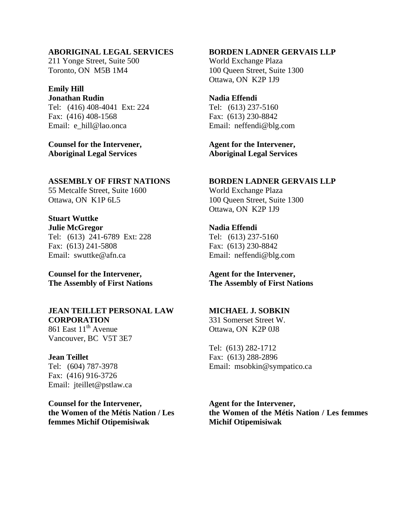#### **ABORIGINAL LEGAL SERVICES**

211 Yonge Street, Suite 500 Toronto, ON M5B 1M4

# **Emily Hill**

**Jonathan Rudin**  Tel: (416) 408-4041 Ext: 224 Fax: (416) 408-1568 Email: e\_hill@lao.onca

**Counsel for the Intervener, Aboriginal Legal Services** 

# **ASSEMBLY OF FIRST NATIONS**

55 Metcalfe Street, Suite 1600 Ottawa, ON K1P 6L5

**Stuart Wuttke Julie McGregor**  Tel: (613) 241-6789 Ext: 228 Fax: (613) 241-5808 Email: swuttke@afn.ca

**Counsel for the Intervener, The Assembly of First Nations**

#### **JEAN TEILLET PERSONAL LAW CORPORATION**

861 East  $11^{th}$  Avenue Vancouver, BC V5T 3E7

**Jean Teillet**  Tel: (604) 787-3978 Fax: (416) 916-3726 Email: jteillet@pstlaw.ca

**Counsel for the Intervener, the Women of the Métis Nation / Les femmes Michif Otipemisiwak**

#### **BORDEN LADNER GERVAIS LLP**

World Exchange Plaza 100 Queen Street, Suite 1300 Ottawa, ON K2P 1J9

#### **Nadia Effendi**

Tel: (613) 237-5160 Fax: (613) 230-8842 Email: neffendi@blg.com

**Agent for the Intervener, Aboriginal Legal Services** 

#### **BORDEN LADNER GERVAIS LLP**

World Exchange Plaza 100 Queen Street, Suite 1300 Ottawa, ON K2P 1J9

# **Nadia Effendi**

Tel: (613) 237-5160 Fax: (613) 230-8842 Email: neffendi@blg.com

**Agent for the Intervener, The Assembly of First Nations** 

### **MICHAEL J. SOBKIN**

331 Somerset Street W. Ottawa, ON K2P 0J8

Tel: (613) 282-1712 Fax: (613) 288-2896 Email: msobkin@sympatico.ca

**Agent for the Intervener, the Women of the Métis Nation / Les femmes Michif Otipemisiwak**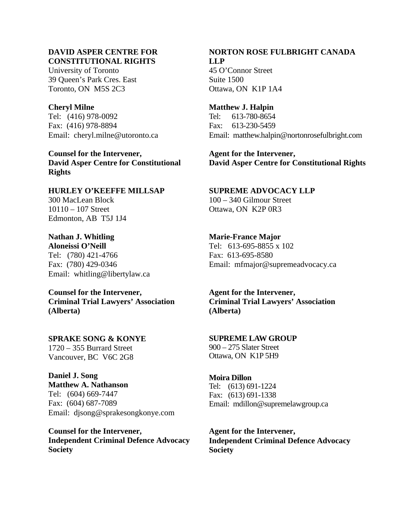# **DAVID ASPER CENTRE FOR CONSTITUTIONAL RIGHTS**

University of Toronto 39 Queen's Park Cres. East Toronto, ON M5S 2C3

### **Cheryl Milne**

Tel: (416) 978-0092 Fax: (416) 978-8894 Email: cheryl.milne@utoronto.ca

**Counsel for the Intervener, David Asper Centre for Constitutional Rights** 

**HURLEY O'KEEFFE MILLSAP**  300 MacLean Block 10110 – 107 Street Edmonton, AB T5J 1J4

**Nathan J. Whitling Aloneissi O'Neill**  Tel: (780) 421-4766 Fax: (780) 429-0346 Email: whitling@libertylaw.ca

**Counsel for the Intervener, Criminal Trial Lawyers' Association (Alberta)** 

**SPRAKE SONG & KONYE**  1720 – 355 Burrard Street Vancouver, BC V6C 2G8

**Daniel J. Song Matthew A. Nathanson** Tel: (604) 669-7447 Fax: (604) 687-7089 Email: djsong@sprakesongkonye.com

**Counsel for the Intervener, Independent Criminal Defence Advocacy Society** 

# **NORTON ROSE FULBRIGHT CANADA LLP**

45 O'Connor Street Suite 1500 Ottawa, ON K1P 1A4

**Matthew J. Halpin**  Tel: 613-780-8654 Fax: 613-230-5459 Email: matthew.halpin@nortonrosefulbright.com

**Agent for the Intervener, David Asper Centre for Constitutional Rights** 

# **SUPREME ADVOCACY LLP**

100 – 340 Gilmour Street Ottawa, ON K2P 0R3

### **Marie-France Major**

Tel: 613-695-8855 x 102 Fax: 613-695-8580 Email: mfmajor@supremeadvocacy.ca

**Agent for the Intervener, Criminal Trial Lawyers' Association (Alberta)** 

### **SUPREME LAW GROUP**

900 – 275 Slater Street Ottawa, ON K1P 5H9

# **Moira Dillon**

Tel: (613) 691-1224 Fax: (613) 691-1338 Email: mdillon@supremelawgroup.ca

**Agent for the Intervener, Independent Criminal Defence Advocacy Society**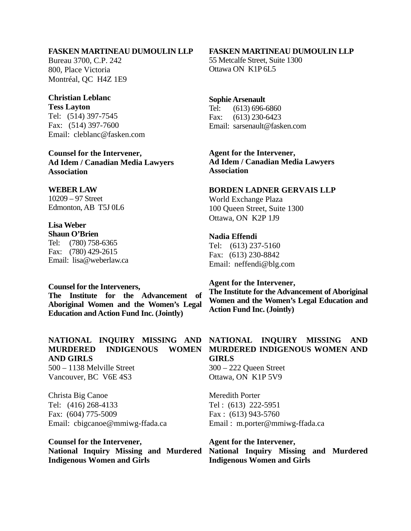#### **FASKEN MARTINEAU DUMOULIN LLP**

Bureau 3700, C.P. 242 800, Place Victoria Montréal, QC H4Z 1E9

#### **Christian Leblanc**

**Tess Layton**  Tel: (514) 397-7545 Fax: (514) 397-7600 Email: cleblanc@fasken.com

**Counsel for the Intervener, Ad Idem / Canadian Media Lawyers Association** 

# **WEBER LAW**

10209 – 97 Street Edmonton, AB T5J 0L6

#### **Lisa Weber Shaun O'Brien**

Tel: (780) 758-6365 Fax: (780) 429-2615 Email: lisa@weberlaw.ca

#### **Counsel for the Interveners,**

**The Institute for the Advancement of Aboriginal Women and the Women's Legal Education and Action Fund Inc. (Jointly)** 

### **NATIONAL INQUIRY MISSING AND MURDERED INDIGENOUS WOMEN AND GIRLS**

500 – 1138 Melville Street Vancouver, BC V6E 4S3

Christa Big Canoe Tel: (416) 268-4133 Fax: (604) 775-5009 Email: cbigcanoe@mmiwg-ffada.ca

**Counsel for the Intervener, National Inquiry Missing and Murdered Indigenous Women and Girls** 

#### **FASKEN MARTINEAU DUMOULIN LLP**

55 Metcalfe Street, Suite 1300 Ottawa ON K1P 6L5

#### **Sophie Arsenault**

Tel: (613) 696-6860 Fax: (613) 230-6423 Email: sarsenault@fasken.com

**Agent for the Intervener, Ad Idem / Canadian Media Lawyers Association** 

#### **BORDEN LADNER GERVAIS LLP**

World Exchange Plaza 100 Queen Street, Suite 1300 Ottawa, ON K2P 1J9

## **Nadia Effendi**

Tel: (613) 237-5160 Fax: (613) 230-8842 Email: neffendi@blg.com

#### **Agent for the Intervener,**

**The Institute for the Advancement of Aboriginal Women and the Women's Legal Education and Action Fund Inc. (Jointly)** 

## **NATIONAL INQUIRY MISSING AND MURDERED INDIGENOUS WOMEN AND GIRLS**

300 – 222 Queen Street Ottawa, ON K1P 5V9

Meredith Porter Tel : (613) 222-5951 Fax : (613) 943-5760 Email : m.porter@mmiwg-ffada.ca

**Agent for the Intervener, National Inquiry Missing and Murdered Indigenous Women and Girls**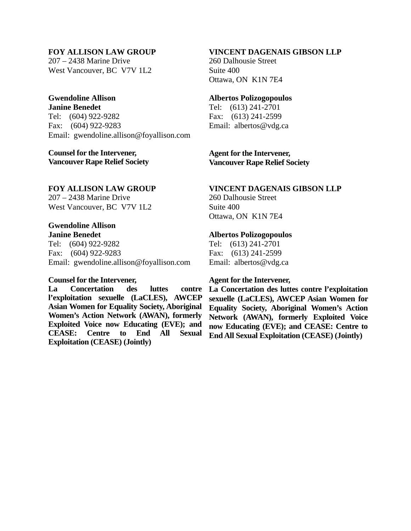### **FOY ALLISON LAW GROUP**

207 – 2438 Marine Drive West Vancouver, BC V7V 1L2

#### **Gwendoline Allison Janine Benedet**

Tel: (604) 922-9282 Fax: (604) 922-9283 Email: gwendoline.allison@foyallison.com

### **Counsel for the Intervener, Vancouver Rape Relief Society**

### **FOY ALLISON LAW GROUP**

207 – 2438 Marine Drive West Vancouver, BC V7V 1L2

#### **Gwendoline Allison Janine Benedet**

Tel: (604) 922-9282 Fax: (604) 922-9283 Email: gwendoline.allison@foyallison.com

#### **Counsel for the Intervener,**

**La Concertation des luttes contre l'exploitation sexuelle (LaCLES), AWCEP Asian Women for Equality Society, Aboriginal Women's Action Network (AWAN), formerly Exploited Voice now Educating (EVE); and CEASE: Centre to End All Sexual Exploitation (CEASE) (Jointly)** 

### **VINCENT DAGENAIS GIBSON LLP**

260 Dalhousie Street Suite 400 Ottawa, ON K1N 7E4

#### **Albertos Polizogopoulos**

Tel: (613) 241-2701 Fax: (613) 241-2599 Email: albertos@vdg.ca

**Agent for the Intervener, Vancouver Rape Relief Society** 

#### **VINCENT DAGENAIS GIBSON LLP**

260 Dalhousie Street Suite 400 Ottawa, ON K1N 7E4

#### **Albertos Polizogopoulos**

Tel: (613) 241-2701 Fax: (613) 241-2599 Email: albertos@vdg.ca

#### **Agent for the Intervener,**

**La Concertation des luttes contre l'exploitation sexuelle (LaCLES), AWCEP Asian Women for Equality Society, Aboriginal Women's Action Network (AWAN), formerly Exploited Voice now Educating (EVE); and CEASE: Centre to End All Sexual Exploitation (CEASE) (Jointly)**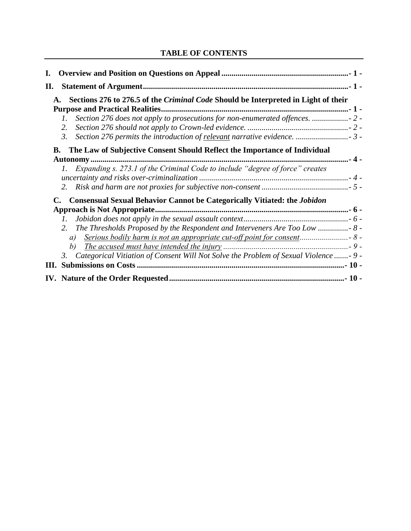# **TABLE OF CONTENTS**

| II.                                                                                                                                                                       |  |
|---------------------------------------------------------------------------------------------------------------------------------------------------------------------------|--|
| Sections 276 to 276.5 of the Criminal Code Should be Interpreted in Light of their                                                                                        |  |
| Section 276 does not apply to prosecutions for non-enumerated offences.<br>2.<br>3.                                                                                       |  |
| The Law of Subjective Consent Should Reflect the Importance of Individual<br>В.                                                                                           |  |
| Expanding s. 273.1 of the Criminal Code to include "degree of force" creates                                                                                              |  |
| <b>Consensual Sexual Behavior Cannot be Categorically Vitiated: the Jobidon</b><br>The Thresholds Proposed by the Respondent and Interveners Are Too Low  8 -<br>2.<br>a) |  |
| b)<br>3. Categorical Vitiation of Consent Will Not Solve the Problem of Sexual Violence - 9 -                                                                             |  |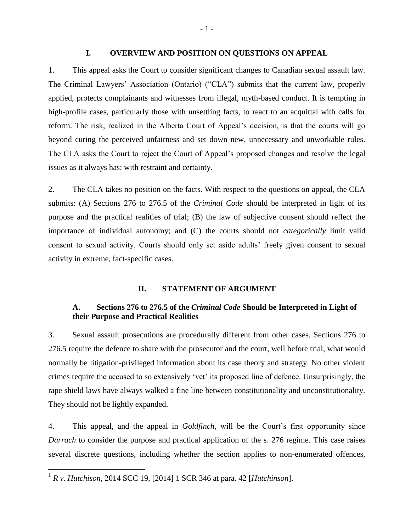#### **I. OVERVIEW AND POSITION ON QUESTIONS ON APPEAL**

1. This appeal asks the Court to consider significant changes to Canadian sexual assault law. The Criminal Lawyers' Association (Ontario) ("CLA") submits that the current law, properly applied, protects complainants and witnesses from illegal, myth-based conduct. It is tempting in high-profile cases, particularly those with unsettling facts, to react to an acquittal with calls for reform. The risk, realized in the Alberta Court of Appeal's decision, is that the courts will go beyond curing the perceived unfairness and set down new, unnecessary and unworkable rules. The CLA asks the Court to reject the Court of Appeal's proposed changes and resolve the legal issues as it always has: with restraint and certainty.<sup>1</sup>

2. The CLA takes no position on the facts. With respect to the questions on appeal, the CLA submits: (A) Sections 276 to 276.5 of the *Criminal Code* should be interpreted in light of its purpose and the practical realities of trial; (B) the law of subjective consent should reflect the importance of individual autonomy; and (C) the courts should not *categorically* limit valid consent to sexual activity. Courts should only set aside adults' freely given consent to sexual activity in extreme, fact-specific cases.

#### **II. STATEMENT OF ARGUMENT**

# **A. Sections 276 to 276.5 of the** *Criminal Code* **Should be Interpreted in Light of their Purpose and Practical Realities**

3. Sexual assault prosecutions are procedurally different from other cases. Sections 276 to 276.5 require the defence to share with the prosecutor and the court, well before trial, what would normally be litigation-privileged information about its case theory and strategy. No other violent crimes require the accused to so extensively 'vet' its proposed line of defence. Unsurprisingly, the rape shield laws have always walked a fine line between constitutionality and unconstitutionality. They should not be lightly expanded.

4. This appeal, and the appeal in *Goldfinch,* will be the Court's first opportunity since *Darrach* to consider the purpose and practical application of the s. 276 regime*.* This case raises several discrete questions, including whether the section applies to non-enumerated offences,

 1 *R v. Hutchison*, 2014 SCC 19, [2014] 1 SCR 346 at para. 42 [*Hutchinson*].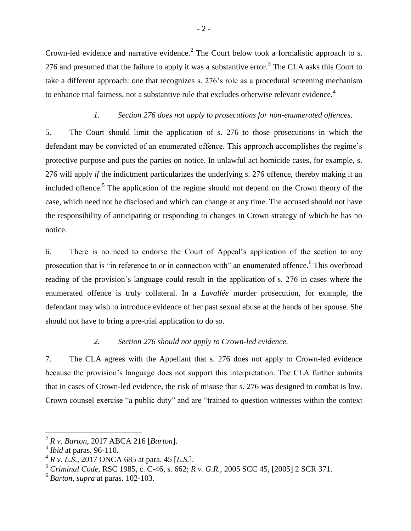Crown-led evidence and narrative evidence.<sup>2</sup> The Court below took a formalistic approach to s. 276 and presumed that the failure to apply it was a substantive error.<sup>3</sup> The CLA asks this Court to take a different approach: one that recognizes s. 276's role as a procedural screening mechanism to enhance trial fairness, not a substantive rule that excludes otherwise relevant evidence.<sup>4</sup>

### *1. Section 276 does not apply to prosecutions for non-enumerated offences.*

5. The Court should limit the application of s. 276 to those prosecutions in which the defendant may be convicted of an enumerated offence. This approach accomplishes the regime's protective purpose and puts the parties on notice. In unlawful act homicide cases, for example, s. 276 will apply *if* the indictment particularizes the underlying s. 276 offence, thereby making it an included offence.<sup>5</sup> The application of the regime should not depend on the Crown theory of the case, which need not be disclosed and which can change at any time. The accused should not have the responsibility of anticipating or responding to changes in Crown strategy of which he has no notice.

6. There is no need to endorse the Court of Appeal's application of the section to any prosecution that is "in reference to or in connection with" an enumerated offence.<sup>6</sup> This overbroad reading of the provision's language could result in the application of s. 276 in cases where the enumerated offence is truly collateral. In a *Lavallée* murder prosecution, for example, the defendant may wish to introduce evidence of her past sexual abuse at the hands of her spouse. She should not have to bring a pre-trial application to do so.

### *2. Section 276 should not apply to Crown-led evidence.*

7. The CLA agrees with the Appellant that s. 276 does not apply to Crown-led evidence because the provision's language does not support this interpretation. The CLA further submits that in cases of Crown-led evidence, the risk of misuse that s. 276 was designed to combat is low. Crown counsel exercise "a public duty" and are "trained to question witnesses within the context

 2 *R v. Barton*, 2017 ABCA 216 [*Barton*].

<sup>3</sup> *Ibid* at paras. 96-110.

<sup>4</sup> *R v. L.S.*, 2017 ONCA 685 at para. 45 [*L.S.*].

<sup>5</sup> *Criminal Code*, RSC 1985, c. C-46, s. 662; *R v. G.R.*, 2005 SCC 45, [2005] 2 SCR 371.

<sup>6</sup> *Barton*, *supra* at paras. 102-103.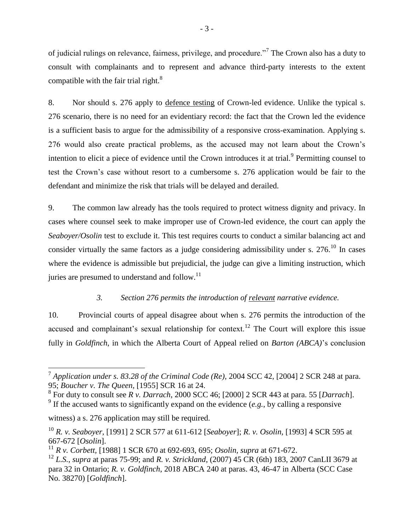of judicial rulings on relevance, fairness, privilege, and procedure."<sup>7</sup> The Crown also has a duty to consult with complainants and to represent and advance third-party interests to the extent compatible with the fair trial right. $8$ 

8. Nor should s. 276 apply to defence testing of Crown-led evidence. Unlike the typical s. 276 scenario, there is no need for an evidentiary record: the fact that the Crown led the evidence is a sufficient basis to argue for the admissibility of a responsive cross-examination. Applying s. 276 would also create practical problems, as the accused may not learn about the Crown's intention to elicit a piece of evidence until the Crown introduces it at trial.<sup>9</sup> Permitting counsel to test the Crown's case without resort to a cumbersome s. 276 application would be fair to the defendant and minimize the risk that trials will be delayed and derailed.

9. The common law already has the tools required to protect witness dignity and privacy. In cases where counsel seek to make improper use of Crown-led evidence, the court can apply the *Seaboyer/Osolin* test to exclude it. This test requires courts to conduct a similar balancing act and consider virtually the same factors as a judge considering admissibility under s.  $276$ .<sup>10</sup> In cases where the evidence is admissible but prejudicial, the judge can give a limiting instruction, which juries are presumed to understand and follow.<sup>11</sup>

# *3. Section 276 permits the introduction of relevant narrative evidence.*

10. Provincial courts of appeal disagree about when s. 276 permits the introduction of the accused and complainant's sexual relationship for context.<sup>12</sup> The Court will explore this issue fully in *Goldfinch*, in which the Alberta Court of Appeal relied on *Barton (ABCA)*'s conclusion

<sup>7</sup> *Application under s. 83.28 of the Criminal Code (Re)*, 2004 SCC 42, [2004] 2 SCR 248 at para. 95; *Boucher v. The Queen*, [1955] SCR 16 at 24.

<sup>8</sup> For duty to consult see *R v. Darrach*, 2000 SCC 46; [2000] 2 SCR 443 at para. 55 [*Darrach*].

<sup>&</sup>lt;sup>9</sup> If the accused wants to significantly expand on the evidence  $(e.g., by calling a responsive$ 

witness) a s. 276 application may still be required.

<sup>10</sup> *R. v. Seaboyer,* [1991] 2 SCR 577 at 611-612 [*Seaboyer*]; *R. v. Osolin,* [1993] 4 SCR 595 at 667-672 [*Osolin*].

<sup>11</sup> *R v. Corbett,* [1988] 1 SCR 670 at 692-693, 695; *Osolin, supra* at 671-672.

<sup>12</sup> *L.S.*, *supra* at paras 75-99; and *R. v. Strickland*, (2007) 45 CR (6th) 183, 2007 CanLII 3679 at para 32 in Ontario; *R. v. Goldfinch*, 2018 ABCA 240 at paras. 43, 46-47 in Alberta (SCC Case No. 38270) [*Goldfinch*].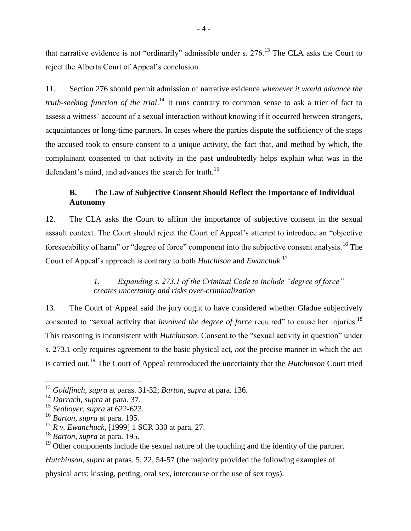that narrative evidence is not "ordinarily" admissible under s.  $276$ .<sup>13</sup> The CLA asks the Court to reject the Alberta Court of Appeal's conclusion*.*

11. Section 276 should permit admission of narrative evidence *whenever it would advance the truth-seeking function of the trial.*<sup>14</sup> It runs contrary to common sense to ask a trier of fact to assess a witness' account of a sexual interaction without knowing if it occurred between strangers, acquaintances or long-time partners. In cases where the parties dispute the sufficiency of the steps the accused took to ensure consent to a unique activity, the fact that, and method by which, the complainant consented to that activity in the past undoubtedly helps explain what was in the defendant's mind, and advances the search for truth.<sup>15</sup>

# **B. The Law of Subjective Consent Should Reflect the Importance of Individual Autonomy**

12. The CLA asks the Court to affirm the importance of subjective consent in the sexual assault context. The Court should reject the Court of Appeal's attempt to introduce an "objective foreseeability of harm" or "degree of force" component into the subjective consent analysis.<sup>16</sup> The Court of Appeal's approach is contrary to both *Hutchison* and *Ewanchuk*. 17

# *1. Expanding s. 273.1 of the Criminal Code to include "degree of force" creates uncertainty and risks over-criminalization*

13. The Court of Appeal said the jury ought to have considered whether Gladue subjectively consented to "sexual activity that *involved the degree of force* required" to cause her injuries.<sup>18</sup> This reasoning is inconsistent with *Hutchinson*. Consent to the "sexual activity in question" under s. 273.1 only requires agreement to the basic physical act, *not* the precise manner in which the act is carried out.<sup>19</sup> The Court of Appeal reintroduced the uncertainty that the *Hutchinson* Court tried

 $\overline{a}$ 

*Hutchinson*, *supra* at paras. 5, 22, 54-57 (the majority provided the following examples of

physical acts: kissing, petting, oral sex, intercourse or the use of sex toys).

<sup>13</sup> *Goldfinch*, *supra* at paras. 31-32; *Barton*, *supra* at para. 136.

<sup>14</sup> *Darrach*, *supra* at para. 37.

<sup>15</sup> *Seaboyer*, *supra* at 622-623.

<sup>16</sup> *Barton*, *supra* at para. 195.

<sup>17</sup> *R v. Ewanchuck*, [1999] 1 SCR 330 at para. 27.

<sup>18</sup> *Barton*, *supra* at para. 195.

<sup>&</sup>lt;sup>19</sup> Other components include the sexual nature of the touching and the identity of the partner.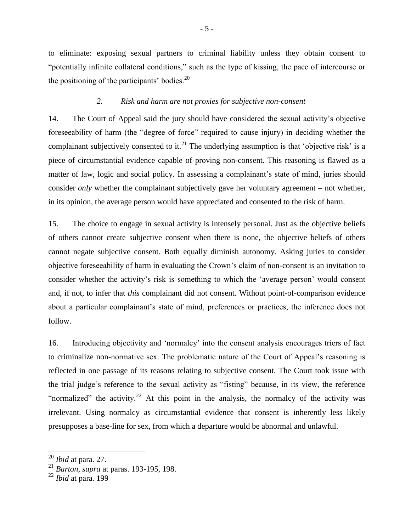to eliminate: exposing sexual partners to criminal liability unless they obtain consent to "potentially infinite collateral conditions," such as the type of kissing, the pace of intercourse or the positioning of the participants' bodies. $^{20}$ 

#### *2. Risk and harm are not proxies for subjective non-consent*

14. The Court of Appeal said the jury should have considered the sexual activity's objective foreseeability of harm (the "degree of force" required to cause injury) in deciding whether the complainant subjectively consented to it.<sup>21</sup> The underlying assumption is that 'objective risk' is a piece of circumstantial evidence capable of proving non-consent. This reasoning is flawed as a matter of law, logic and social policy*.* In assessing a complainant's state of mind, juries should consider *only* whether the complainant subjectively gave her voluntary agreement – not whether, in its opinion, the average person would have appreciated and consented to the risk of harm.

15. The choice to engage in sexual activity is intensely personal. Just as the objective beliefs of others cannot create subjective consent when there is none, the objective beliefs of others cannot negate subjective consent. Both equally diminish autonomy. Asking juries to consider objective foreseeability of harm in evaluating the Crown's claim of non-consent is an invitation to consider whether the activity's risk is something to which the 'average person' would consent and, if not, to infer that *this* complainant did not consent. Without point-of-comparison evidence about a particular complainant's state of mind, preferences or practices, the inference does not follow.

16. Introducing objectivity and 'normalcy' into the consent analysis encourages triers of fact to criminalize non-normative sex. The problematic nature of the Court of Appeal's reasoning is reflected in one passage of its reasons relating to subjective consent. The Court took issue with the trial judge's reference to the sexual activity as "fisting" because, in its view, the reference "normalized" the activity.<sup>22</sup> At this point in the analysis, the normalcy of the activity was irrelevant. Using normalcy as circumstantial evidence that consent is inherently less likely presupposes a base-line for sex, from which a departure would be abnormal and unlawful.

<sup>20</sup> *Ibid* at para. 27.

<sup>21</sup> *Barton*, *supra* at paras. 193-195, 198.

<sup>22</sup> *Ibid* at para. 199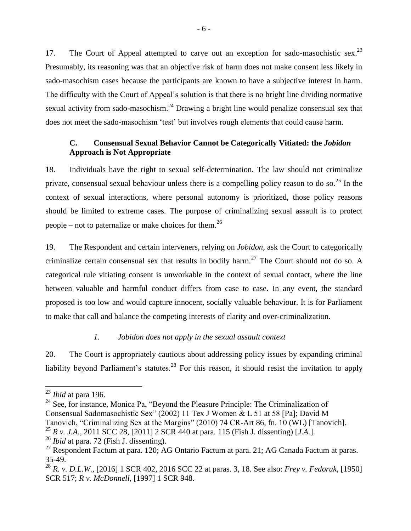17. The Court of Appeal attempted to carve out an exception for sado-masochistic sex.<sup>23</sup> Presumably, its reasoning was that an objective risk of harm does not make consent less likely in sado-masochism cases because the participants are known to have a subjective interest in harm. The difficulty with the Court of Appeal's solution is that there is no bright line dividing normative sexual activity from sado-masochism.<sup>24</sup> Drawing a bright line would penalize consensual sex that does not meet the sado-masochism 'test' but involves rough elements that could cause harm.

# **C. Consensual Sexual Behavior Cannot be Categorically Vitiated: the** *Jobidon*  **Approach is Not Appropriate**

18. Individuals have the right to sexual self-determination. The law should not criminalize private, consensual sexual behaviour unless there is a compelling policy reason to do so.<sup>25</sup> In the context of sexual interactions, where personal autonomy is prioritized, those policy reasons should be limited to extreme cases. The purpose of criminalizing sexual assault is to protect people – not to paternalize or make choices for them.<sup>26</sup>

19. The Respondent and certain interveners, relying on *Jobidon,* ask the Court to categorically criminalize certain consensual sex that results in bodily harm.<sup>27</sup> The Court should not do so. A categorical rule vitiating consent is unworkable in the context of sexual contact, where the line between valuable and harmful conduct differs from case to case. In any event, the standard proposed is too low and would capture innocent, socially valuable behaviour. It is for Parliament to make that call and balance the competing interests of clarity and over-criminalization.

### *1. Jobidon does not apply in the sexual assault context*

20. The Court is appropriately cautious about addressing policy issues by expanding criminal liability beyond Parliament's statutes.<sup>28</sup> For this reason, it should resist the invitation to apply

 $\overline{a}$ 

 $24$  See, for instance, Monica Pa, "Beyond the Pleasure Principle: The Criminalization of Consensual Sadomasochistic Sex" (2002) 11 Tex J Women & L 51 at 58 [Pa]; David M Tanovich, "Criminalizing Sex at the Margins" (2010) 74 CR-Art 86, fn. 10 (WL) [Tanovich].

<sup>25</sup> *R v. J.A.*, 2011 SCC 28, [2011] 2 SCR 440 at para. 115 (Fish J. dissenting) [*J.A.*].

<sup>23</sup> *Ibid* at para 196.

<sup>26</sup> *Ibid* at para. 72 (Fish J. dissenting).

 $^{27}$  Respondent Factum at para. 120; AG Ontario Factum at para. 21; AG Canada Factum at paras. 35-49.

<sup>28</sup> *R. v. D.L.W.,* [2016] 1 SCR 402, 2016 SCC 22 at paras. 3, 18. See also: *Frey v. Fedoruk*, [1950] SCR 517; *R v. McDonnell*, [1997] 1 SCR 948.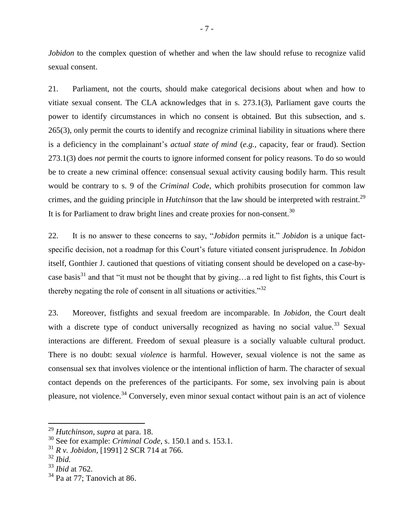*Jobidon* to the complex question of whether and when the law should refuse to recognize valid sexual consent.

21. Parliament, not the courts, should make categorical decisions about when and how to vitiate sexual consent. The CLA acknowledges that in s. 273.1(3), Parliament gave courts the power to identify circumstances in which no consent is obtained. But this subsection, and s. 265(3), only permit the courts to identify and recognize criminal liability in situations where there is a deficiency in the complainant's *actual state of mind* (*e.g.*, capacity, fear or fraud). Section 273.1(3) does *not* permit the courts to ignore informed consent for policy reasons. To do so would be to create a new criminal offence: consensual sexual activity causing bodily harm. This result would be contrary to s. 9 of the *Criminal Code*, which prohibits prosecution for common law crimes, and the guiding principle in *Hutchinson* that the law should be interpreted with restraint.<sup>29</sup> It is for Parliament to draw bright lines and create proxies for non-consent.<sup>30</sup>

22. It is no answer to these concerns to say, "*Jobidon* permits it." *Jobidon* is a unique factspecific decision, not a roadmap for this Court's future vitiated consent jurisprudence. In *Jobidon*  itself, Gonthier J. cautioned that questions of vitiating consent should be developed on a case-bycase basis<sup>31</sup> and that "it must not be thought that by giving...a red light to fist fights, this Court is thereby negating the role of consent in all situations or activities."<sup>32</sup>

23. Moreover, fistfights and sexual freedom are incomparable. In *Jobidon,* the Court dealt with a discrete type of conduct universally recognized as having no social value.<sup>33</sup> Sexual interactions are different. Freedom of sexual pleasure is a socially valuable cultural product. There is no doubt: sexual *violence* is harmful. However, sexual violence is not the same as consensual sex that involves violence or the intentional infliction of harm. The character of sexual contact depends on the preferences of the participants. For some, sex involving pain is about pleasure, not violence.<sup>34</sup> Conversely, even minor sexual contact without pain is an act of violence

<sup>29</sup> *Hutchinson*, *supra* at para. 18.

<sup>30</sup> See for example: *Criminal Code*, s. 150.1 and s. 153.1.

<sup>31</sup> *R v. Jobidon,* [1991] 2 SCR 714 at 766.

<sup>32</sup> *Ibid.*

<sup>33</sup> *Ibid* at 762.

 $34$  Pa at 77; Tanovich at 86.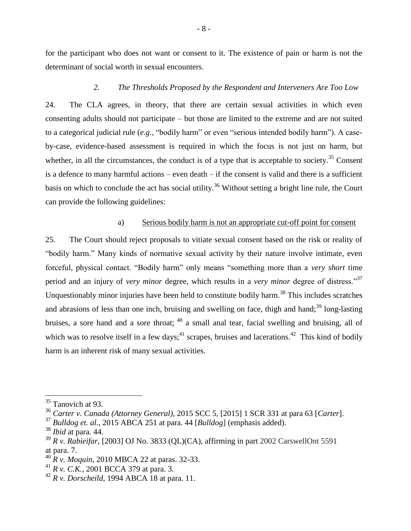for the participant who does not want or consent to it. The existence of pain or harm is not the determinant of social worth in sexual encounters.

### *2. The Thresholds Proposed by the Respondent and Interveners Are Too Low*

24. The CLA agrees, in theory, that there are certain sexual activities in which even consenting adults should not participate – but those are limited to the extreme and are not suited to a categorical judicial rule (*e.g.*, "bodily harm" or even "serious intended bodily harm"). A caseby-case, evidence-based assessment is required in which the focus is not just on harm, but whether, in all the circumstances, the conduct is of a type that is acceptable to society.<sup>35</sup> Consent is a defence to many harmful actions – even death – if the consent is valid and there is a sufficient basis on which to conclude the act has social utility.<sup>36</sup> Without setting a bright line rule, the Court can provide the following guidelines:

#### a) Serious bodily harm is not an appropriate cut-off point for consent

25. The Court should reject proposals to vitiate sexual consent based on the risk or reality of "bodily harm." Many kinds of normative sexual activity by their nature involve intimate, even forceful, physical contact. "Bodily harm" only means "something more than a *very short* time period and an injury of *very minor* degree, which results in a *very minor* degree of distress."<sup>37</sup> Unquestionably minor injuries have been held to constitute bodily harm.<sup>38</sup> This includes scratches and abrasions of less than one inch, bruising and swelling on face, thigh and hand; $^{39}$  long-lasting bruises, a sore hand and a sore throat; <sup>40</sup> a small anal tear, facial swelling and bruising, all of which was to resolve itself in a few days;<sup>41</sup> scrapes, bruises and lacerations.<sup>42</sup> This kind of bodily harm is an inherent risk of many sexual activities.

<sup>&</sup>lt;sup>35</sup> Tanovich at 93.

<sup>36</sup> *Carter v. Canada (Attorney General)*, 2015 SCC 5, [2015] 1 SCR 331 at para 63 [*Carter*].

<sup>37</sup> *Bulldog et. al.*, 2015 ABCA 251 at para. 44 [*Bulldog*] (emphasis added).

<sup>38</sup> *Ibid* at para. 44.

<sup>39</sup> *R v. Rabieifar*, [2003] OJ No. 3833 (QL)(CA), affirming in part 2002 CarswellOnt 5591 at para. 7.

<sup>40</sup> *R v. Moquin*, 2010 MBCA 22 at paras. 32-33.

<sup>41</sup> *R v. C.K.*, 2001 BCCA 379 at para. 3.

<sup>42</sup> *R v. Dorscheild,* 1994 ABCA 18 at para. 11.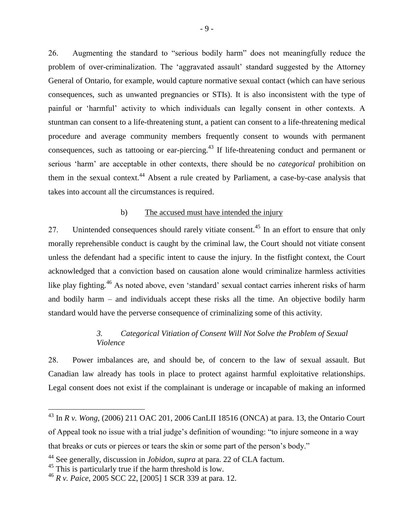26. Augmenting the standard to "serious bodily harm" does not meaningfully reduce the problem of over-criminalization. The 'aggravated assault' standard suggested by the Attorney General of Ontario, for example, would capture normative sexual contact (which can have serious consequences, such as unwanted pregnancies or STIs). It is also inconsistent with the type of painful or 'harmful' activity to which individuals can legally consent in other contexts. A stuntman can consent to a life-threatening stunt, a patient can consent to a life-threatening medical procedure and average community members frequently consent to wounds with permanent consequences, such as tattooing or ear-piercing.<sup>43</sup> If life-threatening conduct and permanent or serious 'harm' are acceptable in other contexts, there should be no *categorical* prohibition on them in the sexual context.<sup>44</sup> Absent a rule created by Parliament, a case-by-case analysis that takes into account all the circumstances is required.

### b) The accused must have intended the injury

27. Unintended consequences should rarely vitiate consent.<sup>45</sup> In an effort to ensure that only morally reprehensible conduct is caught by the criminal law, the Court should not vitiate consent unless the defendant had a specific intent to cause the injury. In the fistfight context, the Court acknowledged that a conviction based on causation alone would criminalize harmless activities like play fighting.<sup>46</sup> As noted above, even 'standard' sexual contact carries inherent risks of harm and bodily harm – and individuals accept these risks all the time. An objective bodily harm standard would have the perverse consequence of criminalizing some of this activity.

# *3. Categorical Vitiation of Consent Will Not Solve the Problem of Sexual Violence*

28. Power imbalances are, and should be, of concern to the law of sexual assault. But Canadian law already has tools in place to protect against harmful exploitative relationships. Legal consent does not exist if the complainant is underage or incapable of making an informed

<sup>43</sup> In *R v. Wong*, (2006) 211 OAC 201, 2006 CanLII 18516 (ONCA) at para. 13, the Ontario Court of Appeal took no issue with a trial judge's definition of wounding: "to injure someone in a way that breaks or cuts or pierces or tears the skin or some part of the person's body."

<sup>44</sup> See generally, discussion in *Jobidon*, *supra* at para. 22 of CLA factum.

<sup>&</sup>lt;sup>45</sup> This is particularly true if the harm threshold is low.

<sup>46</sup> *R v. Paice*, 2005 SCC 22, [2005] 1 SCR 339 at para. 12.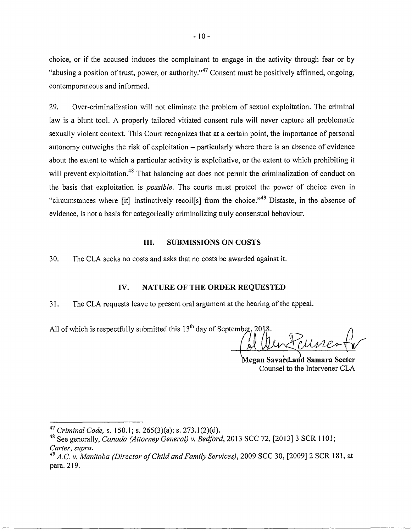choice, or if the accused induces the complainant to engage in the activity through fear or by "abusing a position of trust, power, or authority."<sup>47</sup> Consent must be positively affirmed, ongoing, contemporaneous and informed.

29. Over-criminalization will not eliminate the problem of sexual exploitation. The criminal law is a blunt tool. A properly tailored vitiated consent rule will never capture all problematic sexually violent context. This Court recognizes that at a certain point, the importance of personal autonomy outweighs the risk of exploitation  $-$  particularly where there is an absence of evidence about the extent to which a particular activity is exploitative, or the extent to which prohibiting it will prevent exploitation.<sup>48</sup> That balancing act does not permit the criminalization of conduct on the basis that exploitation is *possible.* The courts must protect the power of choice even in "circumstances where [it] instinctively recoil[s] from the choice."49 Distaste, in the absence of evidence, is not a basis for categorically criminalizing truly consensual behaviour.

#### III. **SUBMISSIONS ON COSTS**

30. TheCLA seeks no costs and asks that no costs be awarded against it.

### IV. **NATURE OF THE ORDER REQUESTED**

31. The CLA requests leave to present oral argument at the hearing of the appeal.

All of which is respectfully submitted this  $13<sup>th</sup>$  day of September, 2018.

Megan Savard and Samara Secter Counsel to the Intervener CLA

<sup>47</sup>*Criminal Code,* s. 150.1; s. 265(3)(a); s. 273.1 (2)(d).

<sup>48</sup> See generally, *Canada (Attorney General) v. Bedford,* 2013 SCC 72, [2013] 3 SCR 1101; *Carter, supra.* 

*<sup>49</sup> A.C. v. Manitoba (Director ofChild and Family Services),* 2009 SCC 30, [2009] 2 SCR 181, at para. 219.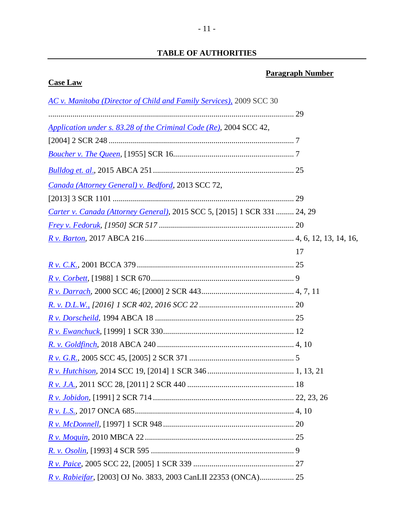# **TABLE OF AUTHORITIES**

# **Paragraph Number**

# **Case Law**

| AC v. Manitoba (Director of Child and Family Services), 2009 SCC 30       |    |
|---------------------------------------------------------------------------|----|
|                                                                           |    |
| Application under s. 83.28 of the Criminal Code (Re), 2004 SCC 42,        |    |
|                                                                           |    |
|                                                                           |    |
|                                                                           |    |
| Canada (Attorney General) v. Bedford, 2013 SCC 72,                        |    |
|                                                                           |    |
| Carter v. Canada (Attorney General), 2015 SCC 5, [2015] 1 SCR 331  24, 29 |    |
|                                                                           |    |
|                                                                           |    |
|                                                                           | 17 |
|                                                                           |    |
|                                                                           |    |
|                                                                           |    |
|                                                                           |    |
|                                                                           |    |
|                                                                           |    |
|                                                                           |    |
|                                                                           |    |
|                                                                           |    |
|                                                                           |    |
|                                                                           |    |
|                                                                           |    |
|                                                                           |    |
|                                                                           |    |
|                                                                           |    |
|                                                                           |    |
| R v. Rabieifar, [2003] OJ No. 3833, 2003 CanLII 22353 (ONCA) 25           |    |